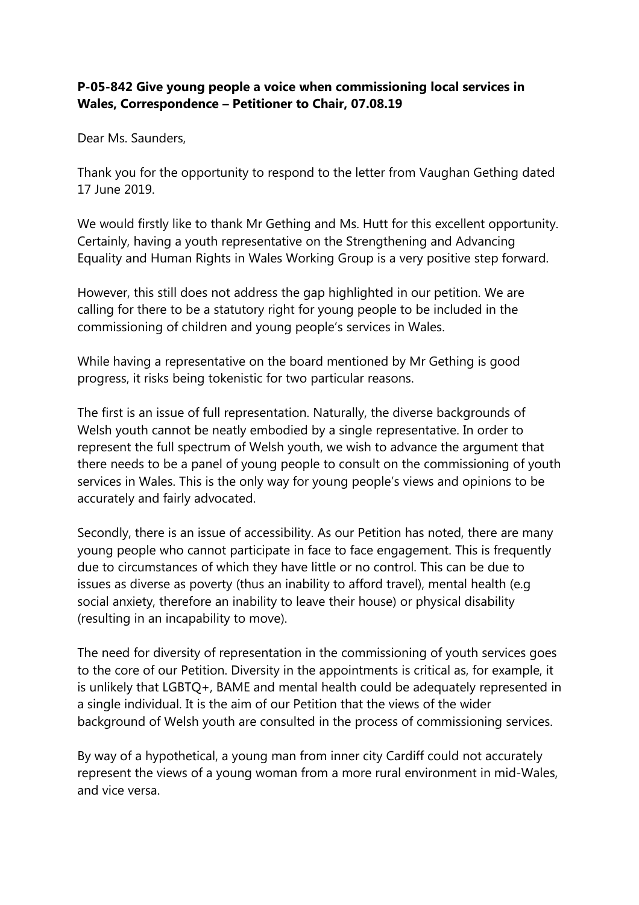## **P-05-842 Give young people a voice when commissioning local services in Wales, Correspondence – Petitioner to Chair, 07.08.19**

Dear Ms. Saunders,

Thank you for the opportunity to respond to the letter from Vaughan Gething dated 17 June 2019.

We would firstly like to thank Mr Gething and Ms. Hutt for this excellent opportunity. Certainly, having a youth representative on the Strengthening and Advancing Equality and Human Rights in Wales Working Group is a very positive step forward.

However, this still does not address the gap highlighted in our petition. We are calling for there to be a statutory right for young people to be included in the commissioning of children and young people's services in Wales.

While having a representative on the board mentioned by Mr Gething is good progress, it risks being tokenistic for two particular reasons.

The first is an issue of full representation. Naturally, the diverse backgrounds of Welsh youth cannot be neatly embodied by a single representative. In order to represent the full spectrum of Welsh youth, we wish to advance the argument that there needs to be a panel of young people to consult on the commissioning of youth services in Wales. This is the only way for young people's views and opinions to be accurately and fairly advocated.

Secondly, there is an issue of accessibility. As our Petition has noted, there are many young people who cannot participate in face to face engagement. This is frequently due to circumstances of which they have little or no control. This can be due to issues as diverse as poverty (thus an inability to afford travel), mental health (e.g social anxiety, therefore an inability to leave their house) or physical disability (resulting in an incapability to move).

The need for diversity of representation in the commissioning of youth services goes to the core of our Petition. Diversity in the appointments is critical as, for example, it is unlikely that LGBTQ+, BAME and mental health could be adequately represented in a single individual. It is the aim of our Petition that the views of the wider background of Welsh youth are consulted in the process of commissioning services.

By way of a hypothetical, a young man from inner city Cardiff could not accurately represent the views of a young woman from a more rural environment in mid-Wales, and vice versa.